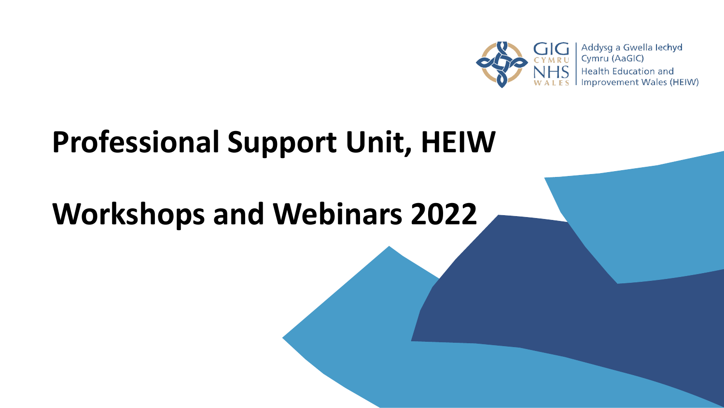

# **Professional Support Unit, HEIW**

# **Workshops and Webinars 2022**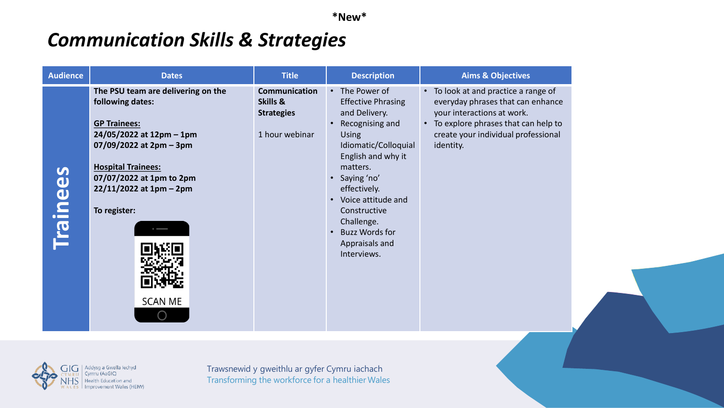**\*New\***

#### *Communication Skills & Strategies*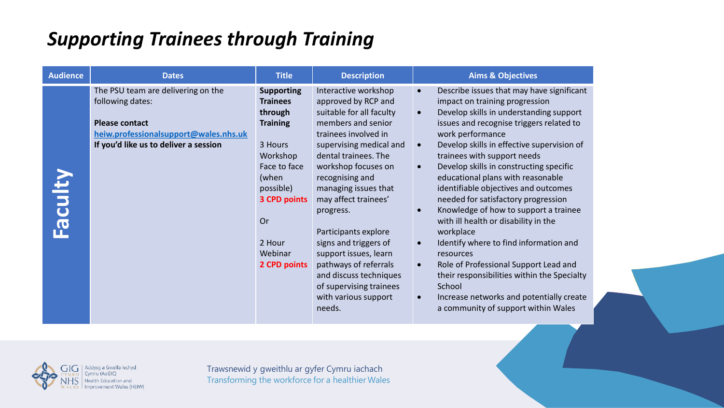#### *Supporting Trainees through Training*

| <b>Audience</b> | <b>Dates</b>                                                                                                                                                      | <b>Title</b>                                                                                                                                                                                      | <b>Description</b>                                                                                                                                                                                                                                                                                                                                                                                                                                                        | <b>Aims &amp; Objectives</b>                                                                                                                                                                                                                                                                                                                                                                                                                                                                                                                                                                                                                                                                                                                                                                                                     |
|-----------------|-------------------------------------------------------------------------------------------------------------------------------------------------------------------|---------------------------------------------------------------------------------------------------------------------------------------------------------------------------------------------------|---------------------------------------------------------------------------------------------------------------------------------------------------------------------------------------------------------------------------------------------------------------------------------------------------------------------------------------------------------------------------------------------------------------------------------------------------------------------------|----------------------------------------------------------------------------------------------------------------------------------------------------------------------------------------------------------------------------------------------------------------------------------------------------------------------------------------------------------------------------------------------------------------------------------------------------------------------------------------------------------------------------------------------------------------------------------------------------------------------------------------------------------------------------------------------------------------------------------------------------------------------------------------------------------------------------------|
| <b>Faculty</b>  | The PSU team are delivering on the<br>following dates:<br><b>Please contact</b><br>heiw.professionalsupport@wales.nhs.uk<br>If you'd like us to deliver a session | <b>Supporting</b><br><b>Trainees</b><br>through<br><b>Training</b><br>3 Hours<br>Workshop<br>Face to face<br>(when<br>possible)<br><b>3 CPD points</b><br>Or<br>2 Hour<br>Webinar<br>2 CPD points | Interactive workshop<br>approved by RCP and<br>suitable for all faculty<br>members and senior<br>trainees involved in<br>supervising medical and<br>dental trainees. The<br>workshop focuses on<br>recognising and<br>managing issues that<br>may affect trainees'<br>progress.<br>Participants explore<br>signs and triggers of<br>support issues, learn<br>pathways of referrals<br>and discuss techniques<br>of supervising trainees<br>with various support<br>needs. | Describe issues that may have significant<br>impact on training progression<br>Develop skills in understanding support<br>$\bullet$<br>issues and recognise triggers related to<br>work performance<br>Develop skills in effective supervision of<br>trainees with support needs<br>Develop skills in constructing specific<br>$\bullet$<br>educational plans with reasonable<br>identifiable objectives and outcomes<br>needed for satisfactory progression<br>Knowledge of how to support a trainee<br>with ill health or disability in the<br>workplace<br>Identify where to find information and<br>$\bullet$<br>resources<br>Role of Professional Support Lead and<br>$\bullet$<br>their responsibilities within the Specialty<br>School<br>Increase networks and potentially create<br>a community of support within Wales |

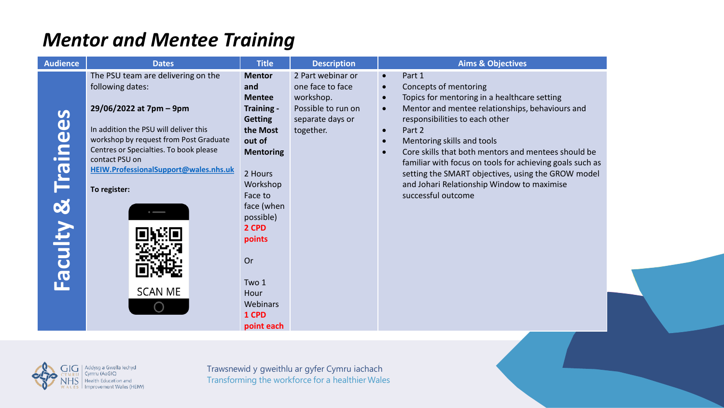## *Mentor and Mentee Training*

| <b>Audience</b>         | <b>Dates</b>                                                                                                                                                                                                                                                                                                | <b>Title</b>                                                                                                                                                                                                                                              | <b>Description</b>                                                                                        | <b>Aims &amp; Objectives</b>                                                                                                                                                                                                                                                                                                                                                                                                                                                                                                            |
|-------------------------|-------------------------------------------------------------------------------------------------------------------------------------------------------------------------------------------------------------------------------------------------------------------------------------------------------------|-----------------------------------------------------------------------------------------------------------------------------------------------------------------------------------------------------------------------------------------------------------|-----------------------------------------------------------------------------------------------------------|-----------------------------------------------------------------------------------------------------------------------------------------------------------------------------------------------------------------------------------------------------------------------------------------------------------------------------------------------------------------------------------------------------------------------------------------------------------------------------------------------------------------------------------------|
| cainees<br>8<br>Faculty | The PSU team are delivering on the<br>following dates:<br>29/06/2022 at 7pm - 9pm<br>In addition the PSU will deliver this<br>workshop by request from Post Graduate<br>Centres or Specialties. To book please<br>contact PSU on<br>HEIW.ProfessionalSupport@wales.nhs.uk<br>To register:<br><b>SCAN ME</b> | <b>Mentor</b><br>and<br><b>Mentee</b><br>Training -<br><b>Getting</b><br>the Most<br>out of<br><b>Mentoring</b><br>2 Hours<br>Workshop<br>Face to<br>face (when<br>possible)<br>2 CPD<br>points<br>Or<br>Two 1<br>Hour<br>Webinars<br>1 CPD<br>point each | 2 Part webinar or<br>one face to face<br>workshop.<br>Possible to run on<br>separate days or<br>together. | Part 1<br>$\bullet$<br>Concepts of mentoring<br>$\bullet$<br>Topics for mentoring in a healthcare setting<br>$\bullet$<br>Mentor and mentee relationships, behaviours and<br>$\bullet$<br>responsibilities to each other<br>Part 2<br>$\bullet$<br>Mentoring skills and tools<br>$\bullet$<br>Core skills that both mentors and mentees should be<br>familiar with focus on tools for achieving goals such as<br>setting the SMART objectives, using the GROW model<br>and Johari Relationship Window to maximise<br>successful outcome |

 $NHS$  Health Education and WALES Improvement Wales (HEIW)

Transforming the workforce for a healthier Wales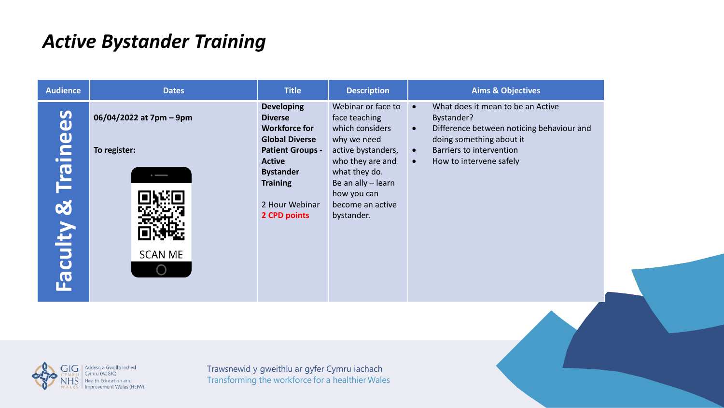#### *Active Bystander Training*

| <b>Audience</b>                                                                                                                                                                                                                                                                                                                                                                   | <b>Dates</b>                                              | <b>Title</b>                                                                                                                                                                                              | <b>Description</b>                                                                                                                                                                                      | <b>Aims &amp; Objectives</b>                                                                                                                                                                                                        |
|-----------------------------------------------------------------------------------------------------------------------------------------------------------------------------------------------------------------------------------------------------------------------------------------------------------------------------------------------------------------------------------|-----------------------------------------------------------|-----------------------------------------------------------------------------------------------------------------------------------------------------------------------------------------------------------|---------------------------------------------------------------------------------------------------------------------------------------------------------------------------------------------------------|-------------------------------------------------------------------------------------------------------------------------------------------------------------------------------------------------------------------------------------|
| Faculty & Trainees                                                                                                                                                                                                                                                                                                                                                                | 06/04/2022 at 7pm - 9pm<br>To register:<br><b>SCAN ME</b> | <b>Developing</b><br><b>Diverse</b><br><b>Workforce for</b><br><b>Global Diverse</b><br><b>Patient Groups -</b><br><b>Active</b><br><b>Bystander</b><br><b>Training</b><br>2 Hour Webinar<br>2 CPD points | Webinar or face to<br>face teaching<br>which considers<br>why we need<br>active bystanders,<br>who they are and<br>what they do.<br>Be an ally - learn<br>how you can<br>become an active<br>bystander. | What does it mean to be an Active<br>$\bullet$<br>Bystander?<br>Difference between noticing behaviour and<br>$\bullet$<br>doing something about it<br>Barriers to intervention<br>$\bullet$<br>How to intervene safely<br>$\bullet$ |
|                                                                                                                                                                                                                                                                                                                                                                                   |                                                           |                                                                                                                                                                                                           |                                                                                                                                                                                                         |                                                                                                                                                                                                                                     |
| $\bigcap$ $\bigcap$ $\bigcap$ $\bigcap$ $\bigcap$ $\bigcap$ $\bigcap$ $\bigcap$ $\bigcap$ $\bigcap$ $\bigcap$ $\bigcap$ $\bigcap$ $\bigcap$ $\bigcap$ $\bigcap$ $\bigcap$ $\bigcap$ $\bigcap$ $\bigcap$ $\bigcap$ $\bigcap$ $\bigcap$ $\bigcap$ $\bigcap$ $\bigcap$ $\bigcap$ $\bigcap$ $\bigcap$ $\bigcap$ $\bigcap$ $\bigcap$ $\bigcap$ $\bigcap$ $\bigcap$ $\bigcap$ $\bigcap$ |                                                           | Traineraid useriately an autor Curanical                                                                                                                                                                  |                                                                                                                                                                                                         |                                                                                                                                                                                                                                     |

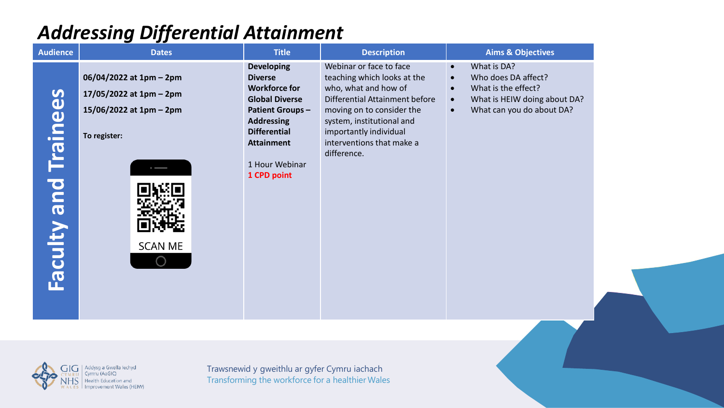## *Addressing Differential Attainment*

| <b>Audience</b>             | <b>Dates</b>                                                                                                         | <b>Title</b>                                                                                                                                                                                                     | <b>Description</b>                                                                                                                                                                                                                               | <b>Aims &amp; Objectives</b>                                                                                                                                                            |  |
|-----------------------------|----------------------------------------------------------------------------------------------------------------------|------------------------------------------------------------------------------------------------------------------------------------------------------------------------------------------------------------------|--------------------------------------------------------------------------------------------------------------------------------------------------------------------------------------------------------------------------------------------------|-----------------------------------------------------------------------------------------------------------------------------------------------------------------------------------------|--|
| <b>Faculty and Trainees</b> | 06/04/2022 at 1pm - 2pm<br>17/05/2022 at 1pm - 2pm<br>15/06/2022 at 1pm - 2pm<br>To register:<br><b>SCAN ME</b><br>∩ | <b>Developing</b><br><b>Diverse</b><br><b>Workforce for</b><br><b>Global Diverse</b><br><b>Patient Groups-</b><br><b>Addressing</b><br><b>Differential</b><br><b>Attainment</b><br>1 Hour Webinar<br>1 CPD point | Webinar or face to face<br>teaching which looks at the<br>who, what and how of<br>Differential Attainment before<br>moving on to consider the<br>system, institutional and<br>importantly individual<br>interventions that make a<br>difference. | What is DA?<br>$\bullet$<br>Who does DA affect?<br>$\bullet$<br>What is the effect?<br>$\bullet$<br>What is HEIW doing about DA?<br>$\bullet$<br>What can you do about DA?<br>$\bullet$ |  |
|                             |                                                                                                                      |                                                                                                                                                                                                                  |                                                                                                                                                                                                                                                  |                                                                                                                                                                                         |  |
| <b>NHS</b>                  | Addysg a Gwella Iechyd<br>Cymru (AaGIC<br>Health Education and<br>Improvement Wales (HEIW)                           | Trawsnewid y gweithlu ar gyfer Cymru iachach<br>Transforming the workforce for a healthier Wales                                                                                                                 |                                                                                                                                                                                                                                                  |                                                                                                                                                                                         |  |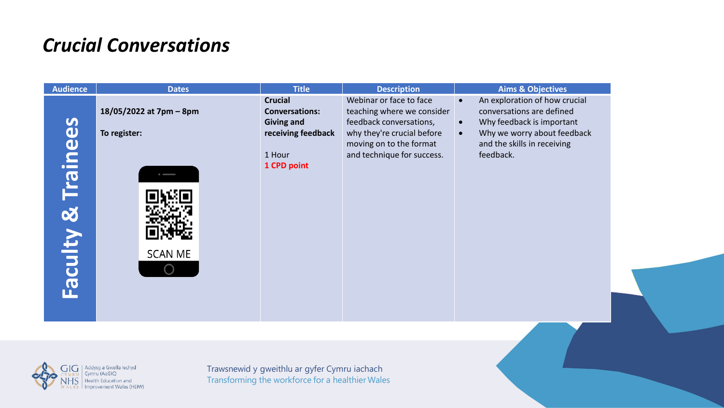## *Crucial Conversations*

| <b>Audience</b>       | <b>Dates</b>                                                                                  | <b>Title</b>                                                                                                | <b>Description</b>                                                                                                                                                      | <b>Aims &amp; Objectives</b>                                                                                                                                                                              |
|-----------------------|-----------------------------------------------------------------------------------------------|-------------------------------------------------------------------------------------------------------------|-------------------------------------------------------------------------------------------------------------------------------------------------------------------------|-----------------------------------------------------------------------------------------------------------------------------------------------------------------------------------------------------------|
| & Trainees<br>Faculty | 18/05/2022 at 7pm - 8pm<br>To register:<br><b>SCAN ME</b>                                     | <b>Crucial</b><br><b>Conversations:</b><br><b>Giving and</b><br>receiving feedback<br>1 Hour<br>1 CPD point | Webinar or face to face<br>teaching where we consider<br>feedback conversations,<br>why they're crucial before<br>moving on to the format<br>and technique for success. | An exploration of how crucial<br>$\bullet$<br>conversations are defined<br>Why feedback is important<br>$\bullet$<br>Why we worry about feedback<br>$\bullet$<br>and the skills in receiving<br>feedback. |
|                       |                                                                                               |                                                                                                             |                                                                                                                                                                         |                                                                                                                                                                                                           |
| GIG<br>WALES          | Addysg a Gwella Iechyd<br>Cymru (AaGIC)<br>Health Education and<br>I Improvement Wales (HEIW) | Trawsnewid y gweithlu ar gyfer Cymru iachach<br>Transforming the workforce for a healthier Wales            |                                                                                                                                                                         |                                                                                                                                                                                                           |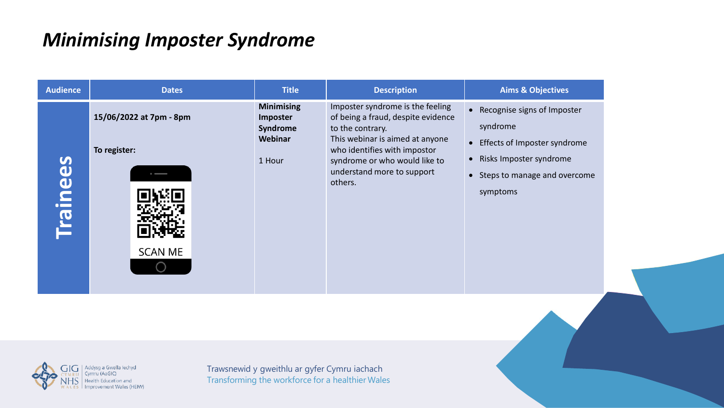#### *Minimising Imposter Syndrome*

| Imposter syndrome is the feeling<br><b>Minimising</b><br>• Recognise signs of Imposter<br>15/06/2022 at 7pm - 8pm<br>of being a fraud, despite evidence<br>Imposter<br>syndrome<br>Syndrome<br>to the contrary.<br>Webinar<br>This webinar is aimed at anyone<br>• Effects of Imposter syndrome<br>who identifies with impostor<br>To register:<br>Risks Imposter syndrome<br>$\bullet$<br><b>Trainees</b><br>syndrome or who would like to<br>1 Hour<br>understand more to support<br>Steps to manage and overcome<br>$\bullet$<br>others.<br>symptoms<br><b>SCAN ME</b> |
|---------------------------------------------------------------------------------------------------------------------------------------------------------------------------------------------------------------------------------------------------------------------------------------------------------------------------------------------------------------------------------------------------------------------------------------------------------------------------------------------------------------------------------------------------------------------------|
|                                                                                                                                                                                                                                                                                                                                                                                                                                                                                                                                                                           |

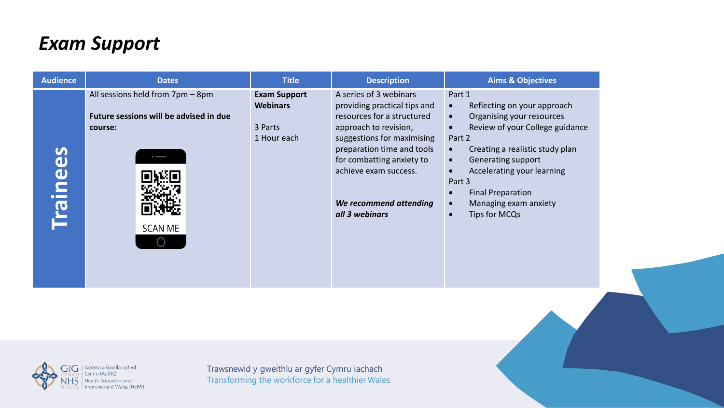## *Exam Support*

| <b>Audience</b>                                       | <b>Dates</b>                                                                                            | <b>Title</b>                                                     | <b>Description</b>                                                                                                                                                                                                                                                          | <b>Aims &amp; Objectives</b>                                                                                                                                                                                                                                                                                                  |
|-------------------------------------------------------|---------------------------------------------------------------------------------------------------------|------------------------------------------------------------------|-----------------------------------------------------------------------------------------------------------------------------------------------------------------------------------------------------------------------------------------------------------------------------|-------------------------------------------------------------------------------------------------------------------------------------------------------------------------------------------------------------------------------------------------------------------------------------------------------------------------------|
| $\boldsymbol{\omega}$<br>$\mathbf 0$<br><b>Traine</b> | All sessions held from 7pm - 8pm<br>Future sessions will be advised in due<br>course:<br><b>SCAN ME</b> | <b>Exam Support</b><br><b>Webinars</b><br>3 Parts<br>1 Hour each | A series of 3 webinars<br>providing practical tips and<br>resources for a structured<br>approach to revision,<br>suggestions for maximising<br>preparation time and tools<br>for combatting anxiety to<br>achieve exam success.<br>We recommend attending<br>all 3 webinars | Part 1<br>Reflecting on your approach<br>Organising your resources<br>$\bullet$<br>Review of your College guidance<br>Part 2<br>Creating a realistic study plan<br>Generating support<br>$\bullet$<br>Accelerating your learning<br>Part 3<br><b>Final Preparation</b><br>Managing exam anxiety<br>Tips for MCQs<br>$\bullet$ |

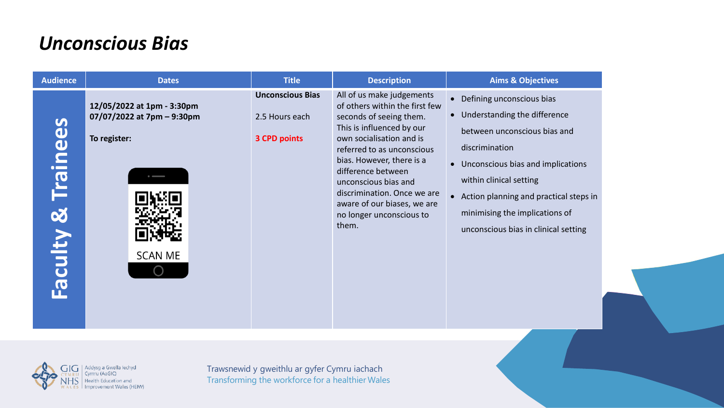#### *Unconscious Bias*

| <b>Unconscious Bias</b><br>All of us make judgements<br>• Defining unconscious bias<br>12/05/2022 at 1pm - 3:30pm<br>of others within the first few<br>• Understanding the difference<br>07/07/2022 at 7pm - 9:30pm<br>seconds of seeing them.<br>2.5 Hours each<br>Trainees<br>This is influenced by our<br>between unconscious bias and<br>To register:<br>own socialisation and is<br><b>3 CPD points</b><br>discrimination<br>referred to as unconscious<br>bias. However, there is a<br>• Unconscious bias and implications<br>difference between<br>within clinical setting<br>unconscious bias and<br>discrimination. Once we are<br>• Action planning and practical steps in<br>aware of our biases, we are<br><b>Faculty &amp;</b><br>minimising the implications of<br>no longer unconscious to<br>them.<br>unconscious bias in clinical setting<br><b>SCAN ME</b> |
|------------------------------------------------------------------------------------------------------------------------------------------------------------------------------------------------------------------------------------------------------------------------------------------------------------------------------------------------------------------------------------------------------------------------------------------------------------------------------------------------------------------------------------------------------------------------------------------------------------------------------------------------------------------------------------------------------------------------------------------------------------------------------------------------------------------------------------------------------------------------------|
|                                                                                                                                                                                                                                                                                                                                                                                                                                                                                                                                                                                                                                                                                                                                                                                                                                                                              |

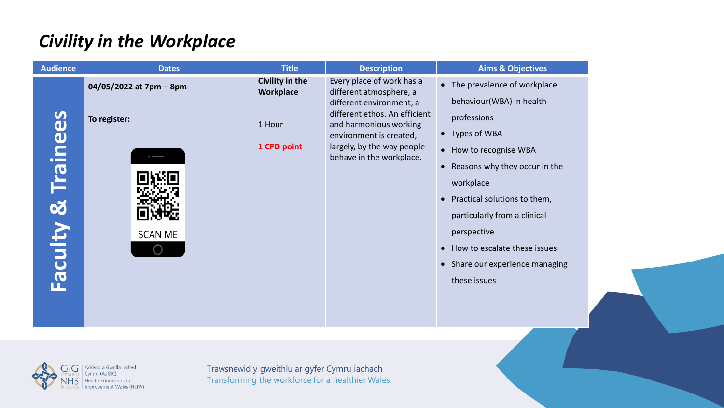#### *Civility in the Workplace*

| Every place of work has a<br>Civility in the<br>• The prevalence of workplace<br>04/05/2022 at 7pm - 8pm<br>Workplace<br>different atmosphere, a<br>behaviour(WBA) in health<br>different environment, a<br>different ethos. An efficient<br><b>Faculty &amp; Trainees</b><br>professions<br>To register:<br>1 Hour<br>and harmonious working<br>• Types of WBA<br>environment is created,<br>largely, by the way people<br>1 CPD point<br>• How to recognise WBA<br>behave in the workplace.<br>• Reasons why they occur in the<br>workplace<br>Practical solutions to them,<br>$\bullet$<br>particularly from a clinical<br>perspective<br><b>SCAN ME</b><br>• How to escalate these issues<br>• Share our experience managing<br>these issues |
|--------------------------------------------------------------------------------------------------------------------------------------------------------------------------------------------------------------------------------------------------------------------------------------------------------------------------------------------------------------------------------------------------------------------------------------------------------------------------------------------------------------------------------------------------------------------------------------------------------------------------------------------------------------------------------------------------------------------------------------------------|
|                                                                                                                                                                                                                                                                                                                                                                                                                                                                                                                                                                                                                                                                                                                                                  |

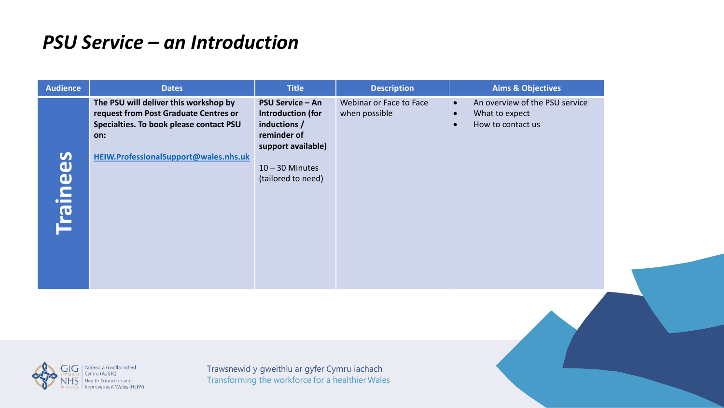#### *PSU Service – an Introduction*

| <b>Audience</b>                                                     | <b>Dates</b>                                                                                                                                                       | <b>Title</b>                                                                                                                                 | <b>Description</b>                       | <b>Aims &amp; Objectives</b>                                                                                 |
|---------------------------------------------------------------------|--------------------------------------------------------------------------------------------------------------------------------------------------------------------|----------------------------------------------------------------------------------------------------------------------------------------------|------------------------------------------|--------------------------------------------------------------------------------------------------------------|
| on:<br>$\overline{\mathbf{S}}$<br>$\mathbf \omega$<br><b>Traine</b> | The PSU will deliver this workshop by<br>request from Post Graduate Centres or<br>Specialties. To book please contact PSU<br>HEIW.ProfessionalSupport@wales.nhs.uk | <b>PSU Service - An</b><br>Introduction (for<br>inductions /<br>reminder of<br>support available)<br>$10 - 30$ Minutes<br>(tailored to need) | Webinar or Face to Face<br>when possible | An overview of the PSU service<br>$\bullet$<br>What to expect<br>$\bullet$<br>How to contact us<br>$\bullet$ |

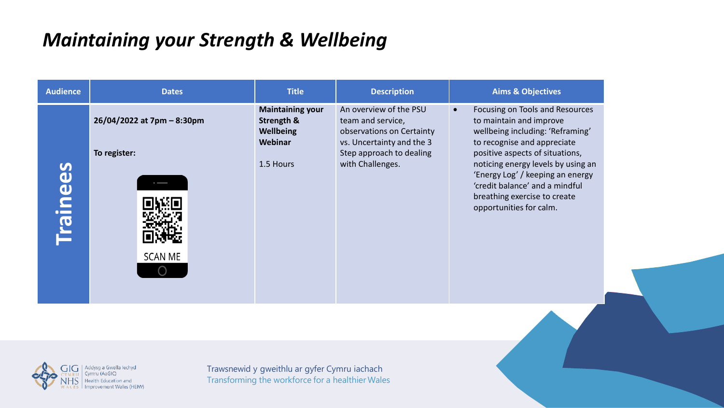# *Maintaining your Strength & Wellbeing*

| <b>Audience</b> | <b>Dates</b>                                                                                       | <b>Title</b>                                                                                     | <b>Description</b>                                                                                                                                    | <b>Aims &amp; Objectives</b>                                                                                                                                                                                                                                                                                                                         |
|-----------------|----------------------------------------------------------------------------------------------------|--------------------------------------------------------------------------------------------------|-------------------------------------------------------------------------------------------------------------------------------------------------------|------------------------------------------------------------------------------------------------------------------------------------------------------------------------------------------------------------------------------------------------------------------------------------------------------------------------------------------------------|
| <b>Trainees</b> | 26/04/2022 at 7pm - 8:30pm<br>To register:<br><b>SCAN ME</b>                                       | <b>Maintaining your</b><br>Strength &<br>Wellbeing<br>Webinar<br>1.5 Hours                       | An overview of the PSU<br>team and service,<br>observations on Certainty<br>vs. Uncertainty and the 3<br>Step approach to dealing<br>with Challenges. | Focusing on Tools and Resources<br>$\bullet$<br>to maintain and improve<br>wellbeing including: 'Reframing'<br>to recognise and appreciate<br>positive aspects of situations,<br>noticing energy levels by using an<br>'Energy Log' / keeping an energy<br>'credit balance' and a mindful<br>breathing exercise to create<br>opportunities for calm. |
|                 |                                                                                                    |                                                                                                  |                                                                                                                                                       |                                                                                                                                                                                                                                                                                                                                                      |
| GIG             | Addysg a Gwella lechyd<br>Cymru (AaGIC)<br><b>Health Education and</b><br>Improvement Wales (HEIW) | Trawsnewid y gweithlu ar gyfer Cymru iachach<br>Transforming the workforce for a healthier Wales |                                                                                                                                                       |                                                                                                                                                                                                                                                                                                                                                      |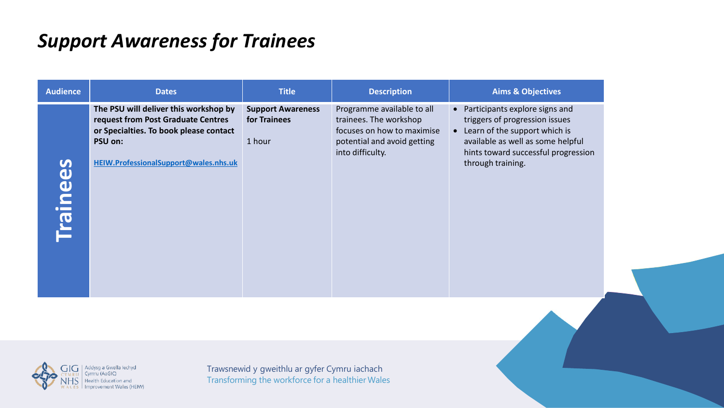# *Support Awareness for Trainees*

| The PSU will deliver this workshop by<br>Programme available to all<br>• Participants explore signs and<br><b>Support Awareness</b><br>request from Post Graduate Centres<br>trainees. The workshop<br>triggers of progression issues<br>for Trainees<br>Learn of the support which is<br>focuses on how to maximise<br>or Specialties. To book please contact<br>$\bullet$<br>available as well as some helpful<br>PSU on:<br>1 hour<br>potential and avoid getting<br>hints toward successful progression<br>into difficulty.<br>HEIW.ProfessionalSupport@wales.nhs.uk<br><b>Trainees</b><br>through training. |
|------------------------------------------------------------------------------------------------------------------------------------------------------------------------------------------------------------------------------------------------------------------------------------------------------------------------------------------------------------------------------------------------------------------------------------------------------------------------------------------------------------------------------------------------------------------------------------------------------------------|
|                                                                                                                                                                                                                                                                                                                                                                                                                                                                                                                                                                                                                  |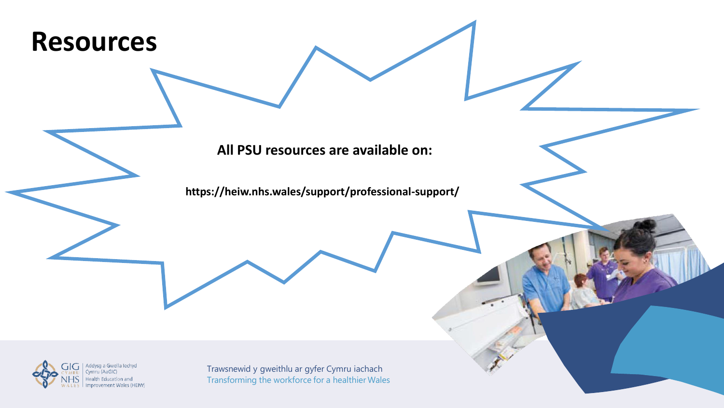

**All PSU resources are available on:**

**https://heiw.nhs.wales/support/professional-support/**